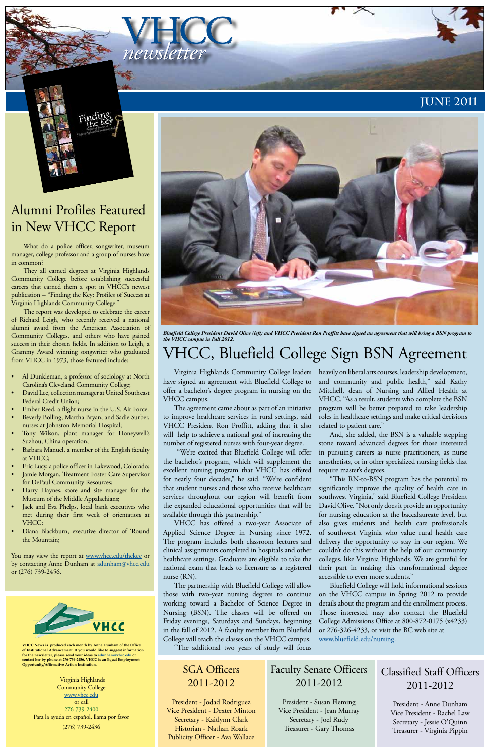VHCC *newsletter*

**VHCC News is produced each month by Anne Dunham of the Office of Institutional Advancement. If you would like to suggest information for the newsletter, please send your ideas to adunham@vhcc.edu or contact her by phone at 276-739-2456. VHCC is an Equal Employment Opportunity/Affirmative Action Institution.**

Virginia Highlands Community College www.vhcc.edu or call 276-739-2400 Para la ayuda en español, llama por favor (276) 739-2436





# VHCC, Bluefield College Sign BSN Agreement



*Bluefield College President David Olive (left) and VHCC President Ron Proffitt have signed an agreement that will bring a BSN program to the VHCC campus in Fall 2012.*

Virginia Highlands Community College leaders have signed an agreement with Bluefield College to offer a bachelor's degree program in nursing on the VHCC campus.

The agreement came about as part of an initiative to improve healthcare services in rural settings, said VHCC President Ron Proffitt, adding that it also will help to achieve a national goal of increasing the number of registered nurses with four-year degree.

 "We're excited that Bluefield College will offer the bachelor's program, which will supplement the excellent nursing program that VHCC has offered for nearly four decades," he said. "We're confident that student nurses and those who receive healthcare services throughout our region will benefit from the expanded educational opportunities that will be available through this partnership."

VHCC has offered a two-year Associate of Applied Science Degree in Nursing since 1972. The program includes both classroom lectures and clinical assignments completed in hospitals and other healthcare settings. Graduates are eligible to take the national exam that leads to licensure as a registered nurse (RN). The partnership with Bluefield College will allow those with two-year nursing degrees to continue working toward a Bachelor of Science Degree in Nursing (BSN). The classes will be offered on Friday evenings, Saturdays and Sundays, beginning in the fall of 2012. A faculty member from Bluefield College will teach the classes on the VHCC campus. "The additional two years of study will focus

heavily on liberal arts courses, leadership development, and community and public health," said Kathy Mitchell, dean of Nursing and Allied Health at VHCC. "As a result, students who complete the BSN program will be better prepared to take leadership roles in healthcare settings and make critical decisions related to patient care."

And, she added, the BSN is a valuable stepping stone toward advanced degrees for those interested in pursuing careers as nurse practitioners, as nurse anesthetists, or in other specialized nursing fields that require master's degrees.

- Al Dunkleman, a professor of sociology at North Carolina's Cleveland Community College;
- David Lee, collection manager at United Southeast Federal Credit Union;
- Ember Reed, a flight nurse in the U.S. Air Force.
- Beverly Bolling, Martha Bryan, and Sadie Surber, nurses at Johnston Memorial Hospital;
- Tony Wilson, plant manager for Honeywell's Suzhou, China operation;
- Barbara Manuel, a member of the English faculty at VHCC;
- Eric Lucy, a police officer in Lakewood, Colorado;
- Jamie Morgan, Treatment Foster Care Supervisor for DePaul Community Resources;
- Harry Haynes, store and site manager for the Museum of the Middle Appalachians;
- Jack and Eva Phelps, local bank executives who met during their first week of orientation at VHCC;
- Diana Blackburn, executive director of 'Round the Mountain;

You may view the report at www.vhcc.edu/thekey or by contacting Anne Dunham at adunham@vhcc.edu or (276) 739-2456.



"This RN-to-BSN program has the potential to significantly improve the quality of health care in southwest Virginia," said Bluefield College President David Olive. "Not only does it provide an opportunity for nursing education at the baccalaureate level, but also gives students and health care professionals of southwest Virginia who value rural health care delivery the opportunity to stay in our region. We couldn't do this without the help of our community

colleges, like Virginia Highlands. We are grateful for their part in making this transformational degree accessible to even more students."

Bluefield College will hold informational sessions on the VHCC campus in Spring 2012 to provide details about the program and the enrollment process. Those interested may also contact the Bluefield College Admissions Office at 800-872-0175 (x4233) or 276-326-4233, or visit the BC web site at www.bluefield.edu/nursing.

SGA Officers 2011-2012

President - Jodad Rodriguez Vice President - Dexter Minton Secretary - Kaitlynn Clark Historian - Nathan Roark Publicity Officer - Ava Wallace

Classified Staff Officers 2011-2012

> President - Anne Dunham Vice President - Rachel Law Secretary - Jessie O'Quinn Treasurer - Virginia Pippin

Faculty Senate Officers 2011-2012

President - Susan Fleming Vice President - Jean Murray Secretary - Joel Rudy Treasurer - Gary Thomas

# Alumni Profiles Featured in New VHCC Report

What do a police officer, songwriter, museum manager, college professor and a group of nurses have in common?

They all earned degrees at Virginia Highlands Community College before establishing successful careers that earned them a spot in VHCC's newest publication – "Finding the Key: Profiles of Success at Virginia Highlands Community College."

The report was developed to celebrate the career of Richard Leigh, who recently received a national alumni award from the American Association of Community Colleges, and others who have gained success in their chosen fields. In addition to Leigh, a Grammy Award winning songwriter who graduated from VHCC in 1973, those featured include: